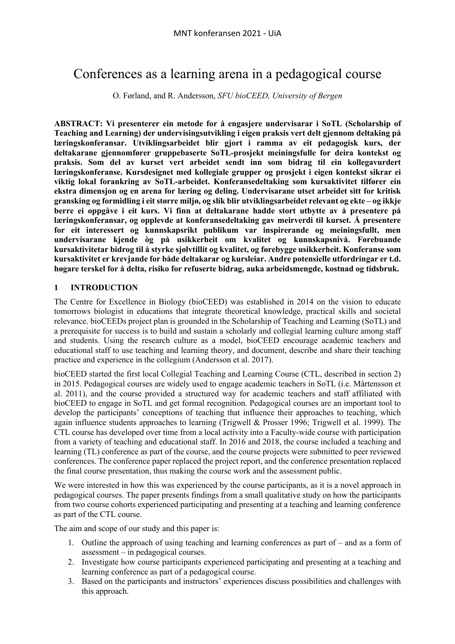# Conferences as a learning arena in a pedagogical course

O. Førland, and R. Andersson, *SFU bioCEED, University of Bergen*

**ABSTRACT: Vi presenterer ein metode for å engasjere undervisarar i SoTL (Scholarship of Teaching and Learning) der undervisingsutvikling i eigen praksis vert delt gjennom deltaking på læringskonferansar. Utviklingsarbeidet blir gjort i ramma av eit pedagogisk kurs, der deltakarane gjennomfører gruppebaserte SoTL-prosjekt meiningsfulle for deira kontekst og praksis. Som del av kurset vert arbeidet sendt inn som bidrag til ein kollegavurdert læringskonferanse. Kursdesignet med kollegiale grupper og prosjekt i eigen kontekst sikrar ei viktig lokal forankring av SoTL-arbeidet. Konferansedeltaking som kursaktivitet tilfører ein ekstra dimensjon og en arena for læring og deling. Undervisarane utset arbeidet sitt for kritisk gransking og formidling i eit større miljø, og slik blir utviklingsarbeidet relevant og ekte – og ikkje berre ei oppgåve i eit kurs. Vi finn at deltakarane hadde stort utbytte av å presentere på læringskonferansar, og opplevde at konferansedeltaking gav meirverdi til kurset. Å presentere for eit interessert og kunnskapsrikt publikum var inspirerande og meiningsfullt, men undervisarane kjende òg på usikkerheit om kvalitet og kunnskapsnivå. Førebuande kursaktivitetar bidrog til å styrke sjølvtillit og kvalitet, og førebygge usikkerheit. Konferanse som kursaktivitet er krevjande for både deltakarar og kursleiar. Andre potensielle utfordringar er t.d. høgare terskel for å delta, risiko for refuserte bidrag, auka arbeidsmengde, kostnad og tidsbruk.** 

## **1 INTRODUCTION**

The Centre for Excellence in Biology (bioCEED) was established in 2014 on the vision to educate tomorrows biologist in educations that integrate theoretical knowledge, practical skills and societal relevance. bioCEEDs project plan is grounded in the Scholarship of Teaching and Learning (SoTL) and a prerequisite for success is to build and sustain a scholarly and collegial learning culture among staff and students. Using the research culture as a model, bioCEED encourage academic teachers and educational staff to use teaching and learning theory, and document, describe and share their teaching practice and experience in the collegium (Andersson et al. 2017).

bioCEED started the first local Collegial Teaching and Learning Course (CTL, described in section 2) in 2015. Pedagogical courses are widely used to engage academic teachers in SoTL (i.e. Mårtensson et al. 2011), and the course provided a structured way for academic teachers and staff affiliated with bioCEED to engage in SoTL and get formal recognition. Pedagogical courses are an important tool to develop the participants' conceptions of teaching that influence their approaches to teaching, which again influence students approaches to learning (Trigwell & Prosser 1996; Trigwell et al. 1999). The CTL course has developed over time from a local activity into a Faculty-wide course with participation from a variety of teaching and educational staff. In 2016 and 2018, the course included a teaching and learning (TL) conference as part of the course, and the course projects were submitted to peer reviewed conferences. The conference paper replaced the project report, and the conference presentation replaced the final course presentation, thus making the course work and the assessment public.

We were interested in how this was experienced by the course participants, as it is a novel approach in pedagogical courses. The paper presents findings from a small qualitative study on how the participants from two course cohorts experienced participating and presenting at a teaching and learning conference as part of the CTL course.

The aim and scope of our study and this paper is:

- 1. Outline the approach of using teaching and learning conferences as part of and as a form of assessment – in pedagogical courses.
- 2. Investigate how course participants experienced participating and presenting at a teaching and learning conference as part of a pedagogical course.
- 3. Based on the participants and instructors' experiences discuss possibilities and challenges with this approach.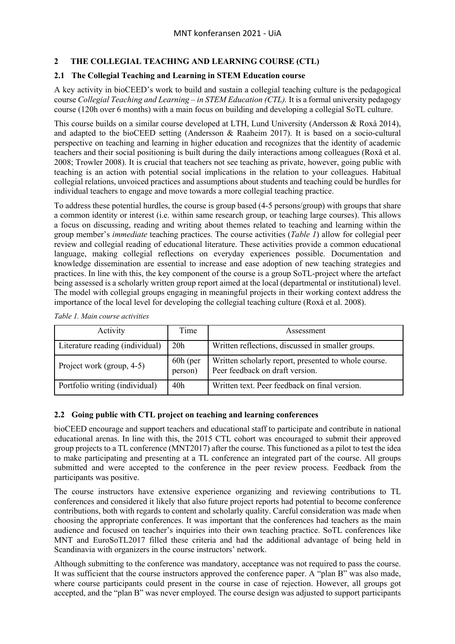# **2 THE COLLEGIAL TEACHING AND LEARNING COURSE (CTL)**

# **2.1 The Collegial Teaching and Learning in STEM Education course**

A key activity in bioCEED's work to build and sustain a collegial teaching culture is the pedagogical course *Collegial Teaching and Learning – in STEM Education (CTL).* It is a formal university pedagogy course (120h over 6 months) with a main focus on building and developing a collegial SoTL culture.

This course builds on a similar course developed at LTH, Lund University (Andersson & Roxå 2014), and adapted to the bioCEED setting (Andersson & Raaheim 2017). It is based on a socio-cultural perspective on teaching and learning in higher education and recognizes that the identity of academic teachers and their social positioning is built during the daily interactions among colleagues (Roxå et al. 2008; Trowler 2008). It is crucial that teachers not see teaching as private, however, going public with teaching is an action with potential social implications in the relation to your colleagues. Habitual collegial relations, unvoiced practices and assumptions about students and teaching could be hurdles for individual teachers to engage and move towards a more collegial teaching practice.

To address these potential hurdles, the course is group based (4-5 persons/group) with groups that share a common identity or interest (i.e. within same research group, or teaching large courses). This allows a focus on discussing, reading and writing about themes related to teaching and learning within the group member's *immediate* teaching practices. The course activities (*Table 1*) allow for collegial peer review and collegial reading of educational literature. These activities provide a common educational language, making collegial reflections on everyday experiences possible. Documentation and knowledge dissemination are essential to increase and ease adoption of new teaching strategies and practices. In line with this, the key component of the course is a group SoTL-project where the artefact being assessed is a scholarly written group report aimed at the local (departmental or institutional) level. The model with collegial groups engaging in meaningful projects in their working context address the importance of the local level for developing the collegial teaching culture (Roxå et al. 2008).

| Activity                        | Time                  | Assessment                                                                              |
|---------------------------------|-----------------------|-----------------------------------------------------------------------------------------|
| Literature reading (individual) | 20 <sub>h</sub>       | Written reflections, discussed in smaller groups.                                       |
| Project work (group, 4-5)       | $60h$ (per<br>person) | Written scholarly report, presented to whole course.<br>Peer feedback on draft version. |
| Portfolio writing (individual)  | 40h                   | Written text. Peer feedback on final version.                                           |

*Table 1. Main course activities*

## **2.2 Going public with CTL project on teaching and learning conferences**

bioCEED encourage and support teachers and educational staff to participate and contribute in national educational arenas. In line with this, the 2015 CTL cohort was encouraged to submit their approved group projects to a TL conference (MNT2017) after the course. This functioned as a pilot to test the idea to make participating and presenting at a TL conference an integrated part of the course. All groups submitted and were accepted to the conference in the peer review process. Feedback from the participants was positive.

The course instructors have extensive experience organizing and reviewing contributions to TL conferences and considered it likely that also future project reports had potential to become conference contributions, both with regards to content and scholarly quality. Careful consideration was made when choosing the appropriate conferences. It was important that the conferences had teachers as the main audience and focused on teacher's inquiries into their own teaching practice. SoTL conferences like MNT and EuroSoTL2017 filled these criteria and had the additional advantage of being held in Scandinavia with organizers in the course instructors' network.

Although submitting to the conference was mandatory, acceptance was not required to pass the course. It was sufficient that the course instructors approved the conference paper. A "plan B" was also made, where course participants could present in the course in case of rejection. However, all groups got accepted, and the "plan B" was never employed. The course design was adjusted to support participants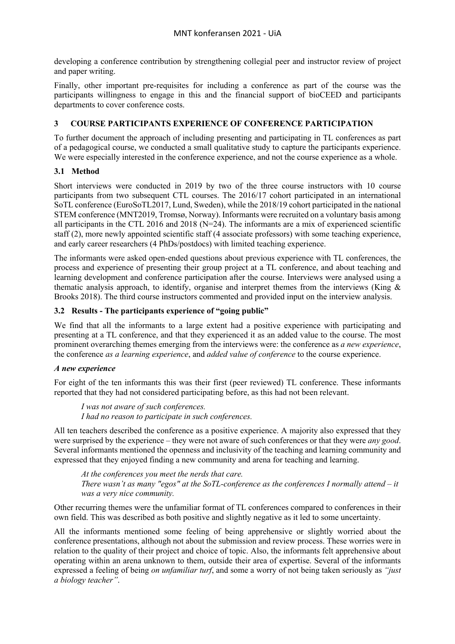developing a conference contribution by strengthening collegial peer and instructor review of project and paper writing.

Finally, other important pre-requisites for including a conference as part of the course was the participants willingness to engage in this and the financial support of bioCEED and participants departments to cover conference costs.

# **3 COURSE PARTICIPANTS EXPERIENCE OF CONFERENCE PARTICIPATION**

To further document the approach of including presenting and participating in TL conferences as part of a pedagogical course, we conducted a small qualitative study to capture the participants experience. We were especially interested in the conference experience, and not the course experience as a whole.

# **3.1 Method**

Short interviews were conducted in 2019 by two of the three course instructors with 10 course participants from two subsequent CTL courses. The 2016/17 cohort participated in an international SoTL conference (EuroSoTL2017, Lund, Sweden), while the 2018/19 cohort participated in the national STEM conference (MNT2019, Tromsø, Norway). Informants were recruited on a voluntary basis among all participants in the CTL 2016 and 2018 ( $N=24$ ). The informants are a mix of experienced scientific staff (2), more newly appointed scientific staff (4 associate professors) with some teaching experience, and early career researchers (4 PhDs/postdocs) with limited teaching experience.

The informants were asked open-ended questions about previous experience with TL conferences, the process and experience of presenting their group project at a TL conference, and about teaching and learning development and conference participation after the course. Interviews were analysed using a thematic analysis approach, to identify, organise and interpret themes from the interviews (King & Brooks 2018). The third course instructors commented and provided input on the interview analysis.

# **3.2 Results - The participants experience of "going public"**

We find that all the informants to a large extent had a positive experience with participating and presenting at a TL conference, and that they experienced it as an added value to the course. The most prominent overarching themes emerging from the interviews were: the conference as *a new experience*, the conference *as a learning experience*, and *added value of conference* to the course experience.

## *A new experience*

For eight of the ten informants this was their first (peer reviewed) TL conference. These informants reported that they had not considered participating before, as this had not been relevant.

*I was not aware of such conferences. I had no reason to participate in such conferences.*

All ten teachers described the conference as a positive experience. A majority also expressed that they were surprised by the experience – they were not aware of such conferences or that they were *any good*. Several informants mentioned the openness and inclusivity of the teaching and learning community and expressed that they enjoyed finding a new community and arena for teaching and learning.

*At the conferences you meet the nerds that care. There wasn't as many "egos" at the SoTL-conference as the conferences I normally attend – it was a very nice community.*

Other recurring themes were the unfamiliar format of TL conferences compared to conferences in their own field. This was described as both positive and slightly negative as it led to some uncertainty.

All the informants mentioned some feeling of being apprehensive or slightly worried about the conference presentations, although not about the submission and review process. These worries were in relation to the quality of their project and choice of topic. Also, the informants felt apprehensive about operating within an arena unknown to them, outside their area of expertise. Several of the informants expressed a feeling of being *on unfamiliar turf*, and some a worry of not being taken seriously as *"just a biology teacher"*.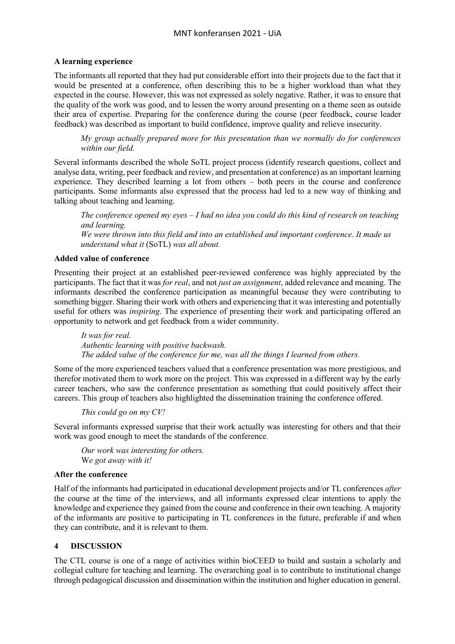#### **A learning experience**

The informants all reported that they had put considerable effort into their projects due to the fact that it would be presented at a conference, often describing this to be a higher workload than what they expected in the course. However, this was not expressed as solely negative. Rather, it was to ensure that the quality of the work was good, and to lessen the worry around presenting on a theme seen as outside their area of expertise. Preparing for the conference during the course (peer feedback, course leader feedback) was described as important to build confidence, improve quality and relieve insecurity.

*My group actually prepared more for this presentation than we normally do for conferences within our field.*

Several informants described the whole SoTL project process (identify research questions, collect and analyse data, writing, peer feedback and review, and presentation at conference) as an important learning experience. They described learning a lot from others – both peers in the course and conference participants. Some informants also expressed that the process had led to a new way of thinking and talking about teaching and learning.

*The conference opened my eyes – I had no idea you could do this kind of research on teaching and learning.*

*We were thrown into this field and into an established and important conference. It made us understand what it* (SoTL) *was all about.*

#### **Added value of conference**

Presenting their project at an established peer-reviewed conference was highly appreciated by the participants. The fact that it was *for real*, and not *just an assignment*, added relevance and meaning. The informants described the conference participation as meaningful because they were contributing to something bigger. Sharing their work with others and experiencing that it was interesting and potentially useful for others was *inspiring*. The experience of presenting their work and participating offered an opportunity to network and get feedback from a wider community.

*It was for real. Authentic learning with positive backwash. The added value of the conference for me, was all the things I learned from others.*

Some of the more experienced teachers valued that a conference presentation was more prestigious, and therefor motivated them to work more on the project. This was expressed in a different way by the early career teachers, who saw the conference presentation as something that could positively affect their careers. This group of teachers also highlighted the dissemination training the conference offered.

*This could go on my CV!*

Several informants expressed surprise that their work actually was interesting for others and that their work was good enough to meet the standards of the conference.

*Our work was interesting for others.* W*e got away with it!*

#### **After the conference**

Half of the informants had participated in educational development projects and/or TL conferences *after*  the course at the time of the interviews, and all informants expressed clear intentions to apply the knowledge and experience they gained from the course and conference in their own teaching. A majority of the informants are positive to participating in TL conferences in the future, preferable if and when they can contribute, and it is relevant to them.

## **4 DISCUSSION**

The CTL course is one of a range of activities within bioCEED to build and sustain a scholarly and collegial culture for teaching and learning. The overarching goal is to contribute to institutional change through pedagogical discussion and dissemination within the institution and higher education in general.